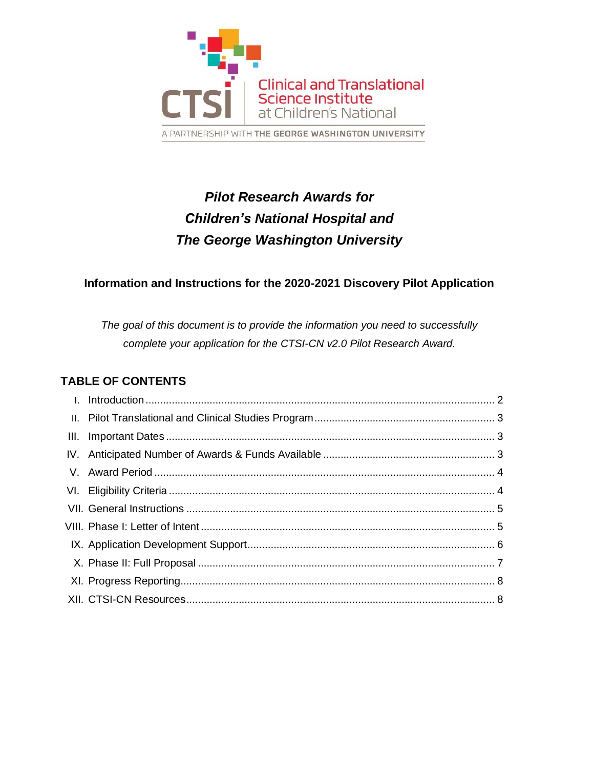

# *Pilot Research Awards for Children's National Hospital and The George Washington University*

# **Information and Instructions for the 2020-2021 Discovery Pilot Application**

*The goal of this document is to provide the information you need to successfully complete your application for the CTSI-CN v2.0 Pilot Research Award.*

# **TABLE OF CONTENTS**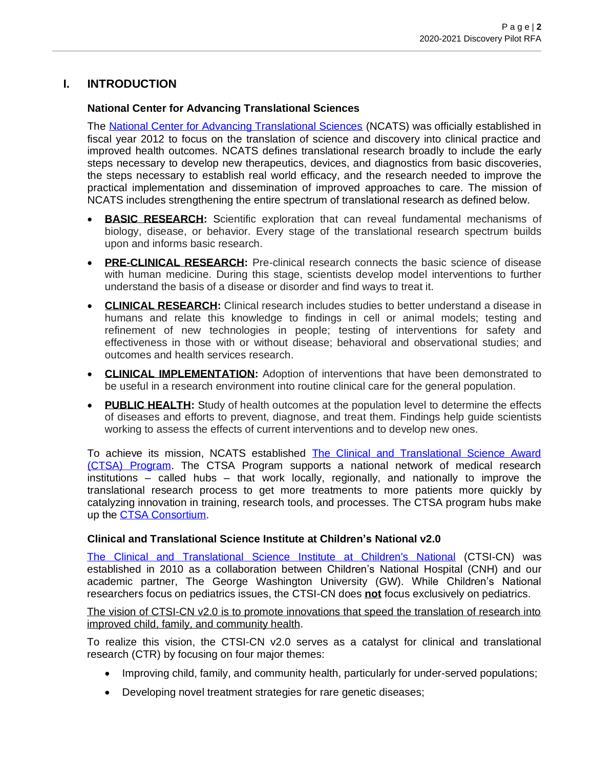# **I. INTRODUCTION**

#### **National Center for Advancing Translational Sciences**

The [National Center for Advancing Translational Sciences](https://ncats.nih.gov/) (NCATS) was officially established in fiscal year 2012 to focus on the translation of science and discovery into clinical practice and improved health outcomes. NCATS defines translational research broadly to include the early steps necessary to develop new therapeutics, devices, and diagnostics from basic discoveries, the steps necessary to establish real world efficacy, and the research needed to improve the practical implementation and dissemination of improved approaches to care. The mission of NCATS includes strengthening the entire spectrum of translational research as defined below.

- **BASIC RESEARCH:** Scientific exploration that can reveal fundamental mechanisms of biology, disease, or behavior. Every stage of the translational research spectrum builds upon and informs basic research.
- **PRE-CLINICAL RESEARCH:** Pre-clinical research connects the basic science of disease with human medicine. During this stage, scientists develop model interventions to further understand the basis of a disease or disorder and find ways to treat it.
- **CLINICAL RESEARCH:** Clinical research includes studies to better understand a disease in humans and relate this knowledge to findings in cell or animal models; testing and refinement of new technologies in people; testing of interventions for safety and effectiveness in those with or without disease; behavioral and observational studies; and outcomes and health services research.
- **CLINICAL IMPLEMENTATION:** Adoption of interventions that have been demonstrated to be useful in a research environment into routine clinical care for the general population.
- **PUBLIC HEALTH:** Study of health outcomes at the population level to determine the effects of diseases and efforts to prevent, diagnose, and treat them. Findings help guide scientists working to assess the effects of current interventions and to develop new ones.

To achieve its mission, NCATS established The Clinical and Translational Science Award [\(CTSA\) Program.](https://ctsa.ncats.nih.gov/) The CTSA Program supports a national network of medical research institutions – called hubs – that work locally, regionally, and nationally to improve the translational research process to get more treatments to more patients more quickly by catalyzing innovation in training, research tools, and processes. The CTSA program hubs make up the [CTSA Consortium.](https://clic-ctsa.org/)

#### **Clinical and Translational Science Institute at Children's National v2.0**

The Clinical and [Translational](https://www.ctsicn.org/) Science Institute at Children's National (CTSI-CN) was established in 2010 as a collaboration between Children's National Hospital (CNH) and our academic partner, The George Washington University (GW). While Children's National researchers focus on pediatrics issues, the CTSI-CN does **not** focus exclusively on pediatrics.

The vision of CTSI-CN v2.0 is to promote innovations that speed the translation of research into improved child, family, and community health.

To realize this vision, the CTSI-CN v2.0 serves as a catalyst for clinical and translational research (CTR) by focusing on four major themes:

- Improving child, family, and community health, particularly for under-served populations;
- Developing novel treatment strategies for rare genetic diseases;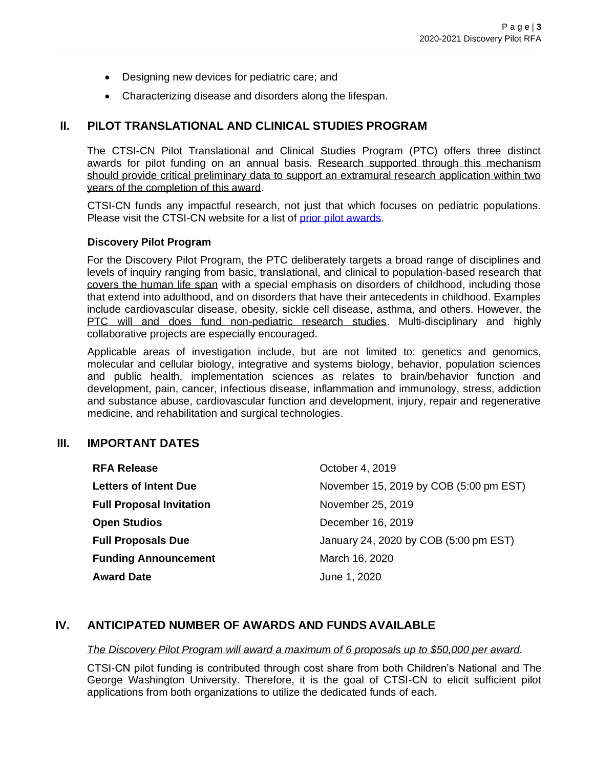- Designing new devices for pediatric care; and
- Characterizing disease and disorders along the lifespan.

#### **II. PILOT TRANSLATIONAL AND CLINICAL STUDIES PROGRAM**

The CTSI-CN Pilot Translational and Clinical Studies Program (PTC) offers three distinct awards for pilot funding on an annual basis. Research supported through this mechanism should provide critical preliminary data to support an extramural research application within two years of the completion of this award.

CTSI-CN funds any impactful research, not just that which focuses on pediatric populations. Please visit the CTSI-CN website for a list of [prior pilot awards.](https://ctsicn.org/awardedprojects)

#### **Discovery Pilot Program**

For the Discovery Pilot Program, the PTC deliberately targets a broad range of disciplines and levels of inquiry ranging from basic, translational, and clinical to population-based research that covers the human life span with a special emphasis on disorders of childhood, including those that extend into adulthood, and on disorders that have their antecedents in childhood. Examples include cardiovascular disease, obesity, sickle cell disease, asthma, and others. However, the PTC will and does fund non-pediatric research studies. Multi-disciplinary and highly collaborative projects are especially encouraged.

Applicable areas of investigation include, but are not limited to: genetics and genomics, molecular and cellular biology, integrative and systems biology, behavior, population sciences and public health, implementation sciences as relates to brain/behavior function and development, pain, cancer, infectious disease, inflammation and immunology, stress, addiction and substance abuse, cardiovascular function and development, injury, repair and regenerative medicine, and rehabilitation and surgical technologies.

#### **III. IMPORTANT DATES**

| <b>RFA Release</b>              | October 4, 2019                        |
|---------------------------------|----------------------------------------|
| <b>Letters of Intent Due</b>    | November 15, 2019 by COB (5:00 pm EST) |
| <b>Full Proposal Invitation</b> | November 25, 2019                      |
| <b>Open Studios</b>             | December 16, 2019                      |
| <b>Full Proposals Due</b>       | January 24, 2020 by COB (5:00 pm EST)  |
| <b>Funding Announcement</b>     | March 16, 2020                         |
| <b>Award Date</b>               | June 1, 2020                           |
|                                 |                                        |

#### **IV. ANTICIPATED NUMBER OF AWARDS AND FUNDS AVAILABLE**

*The Discovery Pilot Program will award a maximum of 6 proposals up to \$50,000 per award.* 

CTSI-CN pilot funding is contributed through cost share from both Children's National and The George Washington University. Therefore, it is the goal of CTSI-CN to elicit sufficient pilot applications from both organizations to utilize the dedicated funds of each.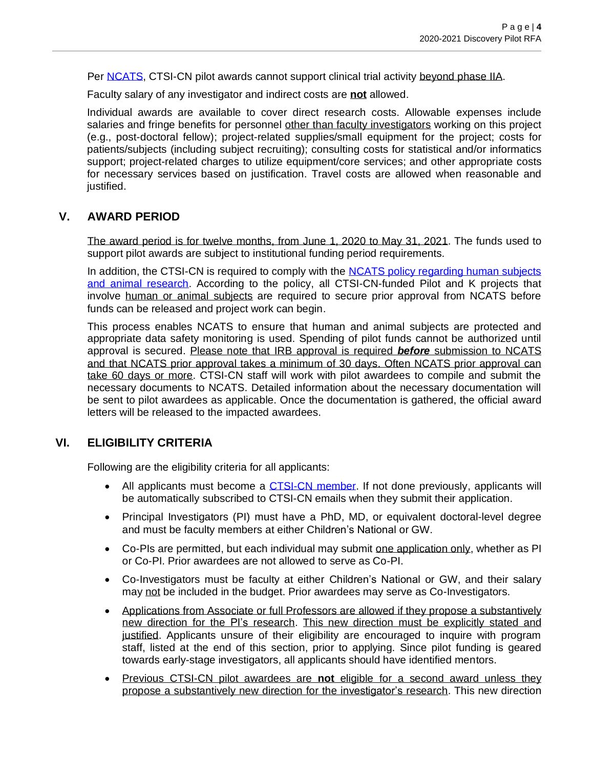Per [NCATS,](https://ncats.nih.gov/funding/review/policy) CTSI-CN pilot awards cannot support clinical trial activity beyond phase IIA.

Faculty salary of any investigator and indirect costs are **not** allowed.

Individual awards are available to cover direct research costs. Allowable expenses include salaries and fringe benefits for personnel other than faculty investigators working on this project (e.g., post-doctoral fellow); project-related supplies/small equipment for the project; costs for patients/subjects (including subject recruiting); consulting costs for statistical and/or informatics support; project-related charges to utilize equipment/core services; and other appropriate costs for necessary services based on justification. Travel costs are allowed when reasonable and justified.

# **V. AWARD PERIOD**

The award period is for twelve months, from June 1, 2020 to May 31, 2021. The funds used to support pilot awards are subject to institutional funding period requirements.

In addition, the CTSI-CN is required to comply with the NCATS policy regarding human subjects [and animal research.](https://ncats.nih.gov/funding/grantees/approval-faq) According to the policy, all CTSI-CN-funded Pilot and K projects that involve human or animal subjects are required to secure prior approval from NCATS before funds can be released and project work can begin.

This process enables NCATS to ensure that human and animal subjects are protected and appropriate data safety monitoring is used. Spending of pilot funds cannot be authorized until approval is secured. Please note that IRB approval is required *before* submission to NCATS and that NCATS prior approval takes a minimum of 30 days. Often NCATS prior approval can take 60 days or more. CTSI-CN staff will work with pilot awardees to compile and submit the necessary documents to NCATS. Detailed information about the necessary documentation will be sent to pilot awardees as applicable. Once the documentation is gathered, the official award letters will be released to the impacted awardees.

#### **VI. ELIGIBILITY CRITERIA**

Following are the eligibility criteria for all applicants:

- All applicants must become a [CTSI-CN](https://visitor.r20.constantcontact.com/manage/optin?v=001L7pmMP5BCByrEEoHKtboei8GSMar6s_Q6pNjIoymhq5l84wfLIgHJXbMNuXIBBMwKiAxz4pmFMyDL_ER5FxtOVz7cj0DuMicqAqD1W6NlmE%3D) member. If not done previously, applicants will be automatically subscribed to CTSI-CN emails when they submit their application.
- Principal Investigators (PI) must have a PhD, MD, or equivalent doctoral-level degree and must be faculty members at either Children's National or GW.
- Co-PIs are permitted, but each individual may submit one application only, whether as PI or Co-PI. Prior awardees are not allowed to serve as Co-PI.
- Co-Investigators must be faculty at either Children's National or GW, and their salary may not be included in the budget. Prior awardees may serve as Co-Investigators.
- Applications from Associate or full Professors are allowed if they propose a substantively new direction for the PI's research. This new direction must be explicitly stated and justified. Applicants unsure of their eligibility are encouraged to inquire with program staff, listed at the end of this section, prior to applying. Since pilot funding is geared towards early-stage investigators, all applicants should have identified mentors.
- Previous CTSI-CN pilot awardees are **not** eligible for a second award unless they propose a substantively new direction for the investigator's research. This new direction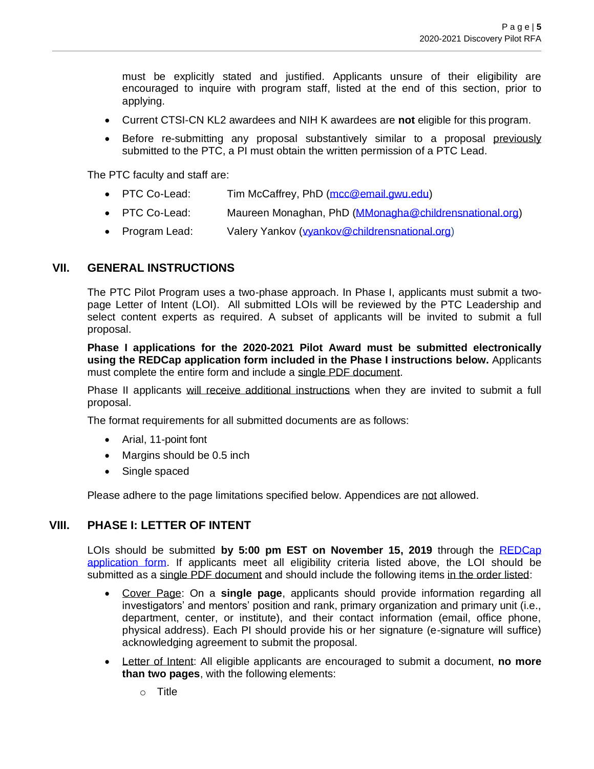must be explicitly stated and justified. Applicants unsure of their eligibility are encouraged to inquire with program staff, listed at the end of this section, prior to applying.

- Current CTSI-CN KL2 awardees and NIH K awardees are **not** eligible for this program.
- Before re-submitting any proposal substantively similar to a proposal previously submitted to the PTC, a PI must obtain the written permission of a PTC Lead.

The PTC faculty and staff are:

- PTC Co-Lead: Tim McCaffrey, PhD [\(mcc@email.gwu.edu\)](mailto:mcc@email.gwu.edu)
- PTC Co-Lead: Maureen Monaghan, PhD [\(MMonagha@childrensnational.org\)](mailto:MMonagha@childrensnational.org)
- Program Lead: Valery Yankov [\(vyankov@childrensnational.org\)](mailto:vyankov@childrensnational.org)

### **VII. GENERAL INSTRUCTIONS**

The PTC Pilot Program uses a two-phase approach. In Phase I, applicants must submit a twopage Letter of Intent (LOI). All submitted LOIs will be reviewed by the PTC Leadership and select content experts as required. A subset of applicants will be invited to submit a full proposal.

**Phase I applications for the 2020-2021 Pilot Award must be submitted electronically using the REDCap application form included in the Phase I instructions below.** Applicants must complete the entire form and include a single PDF document.

Phase II applicants will receive additional instructions when they are invited to submit a full proposal.

The format requirements for all submitted documents are as follows:

- Arial, 11-point font
- Margins should be 0.5 inch
- Single spaced

Please adhere to the page limitations specified below. Appendices are not allowed.

#### **VIII. PHASE I: LETTER OF INTENT**

LOIs should be submitted **by 5:00 pm EST on November 15, 2019** through the [REDCap](https://cri-datacap.org/surveys/?s=%20HKNWJYDCJH)  [application form.](https://cri-datacap.org/surveys/?s=%20HKNWJYDCJH) If applicants meet all eligibility criteria listed above, the LOI should be submitted as a single PDF document and should include the following items in the order listed:

- Cover Page: On a **single page**, applicants should provide information regarding all investigators' and mentors' position and rank, primary organization and primary unit (i.e., department, center, or institute), and their contact information (email, office phone, physical address). Each PI should provide his or her signature (e-signature will suffice) acknowledging agreement to submit the proposal.
- Letter of Intent: All eligible applicants are encouraged to submit a document, **no more than two pages**, with the following elements:
	- $\circ$  Title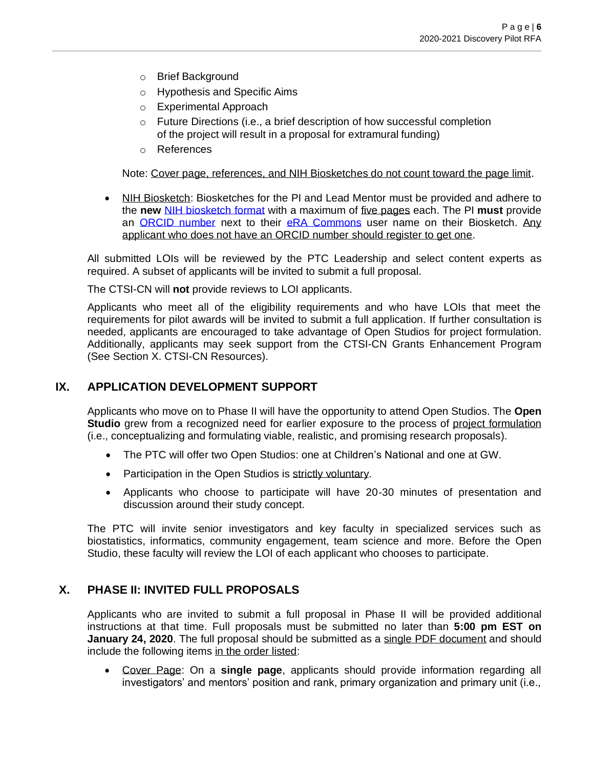- o Brief Background
- o Hypothesis and Specific Aims
- o Experimental Approach
- o Future Directions (i.e., a brief description of how successful completion of the project will result in a proposal for extramural funding)
- o References

Note: Cover page, references, and NIH Biosketches do not count toward the page limit.

• NIH Biosketch: Biosketches for the PI and Lead Mentor must be provided and adhere to the **new** [NIH biosketch format](https://grants.nih.gov/grants/forms/biosketch.htm) with a maximum of five pages each. The PI **must** provide an [ORCID number](https://orcid.org/) next to their [eRA Commons](https://era.nih.gov/) user name on their Biosketch. Any applicant who does not have an ORCID number should register to get one.

All submitted LOIs will be reviewed by the PTC Leadership and select content experts as required. A subset of applicants will be invited to submit a full proposal.

The CTSI-CN will **not** provide reviews to LOI applicants.

Applicants who meet all of the eligibility requirements and who have LOIs that meet the requirements for pilot awards will be invited to submit a full application. If further consultation is needed, applicants are encouraged to take advantage of Open Studios for project formulation. Additionally, applicants may seek support from the CTSI-CN Grants Enhancement Program (See Section X. CTSI-CN Resources).

#### **IX. APPLICATION DEVELOPMENT SUPPORT**

Applicants who move on to Phase II will have the opportunity to attend Open Studios. The **Open Studio** grew from a recognized need for earlier exposure to the process of project formulation (i.e., conceptualizing and formulating viable, realistic, and promising research proposals).

- The PTC will offer two Open Studios: one at Children's National and one at GW.
- Participation in the Open Studios is strictly voluntary.
- Applicants who choose to participate will have 20-30 minutes of presentation and discussion around their study concept.

The PTC will invite senior investigators and key faculty in specialized services such as biostatistics, informatics, community engagement, team science and more. Before the Open Studio, these faculty will review the LOI of each applicant who chooses to participate.

#### **X. PHASE II: INVITED FULL PROPOSALS**

Applicants who are invited to submit a full proposal in Phase II will be provided additional instructions at that time. Full proposals must be submitted no later than **5:00 pm EST on January 24, 2020**. The full proposal should be submitted as a single PDF document and should include the following items in the order listed:

• Cover Page: On a **single page**, applicants should provide information regarding all investigators' and mentors' position and rank, primary organization and primary unit (i.e.,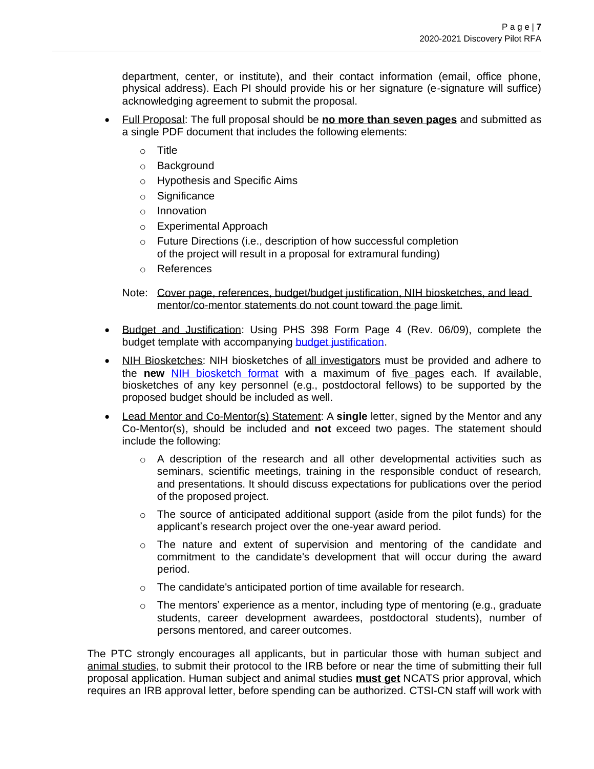department, center, or institute), and their contact information (email, office phone, physical address). Each PI should provide his or her signature (e-signature will suffice) acknowledging agreement to submit the proposal.

- Full Proposal: The full proposal should be **no more than seven pages** and submitted as a single PDF document that includes the following elements:
	- o Title
	- o Background
	- o Hypothesis and Specific Aims
	- o Significance
	- o Innovation
	- o Experimental Approach
	- o Future Directions (i.e., description of how successful completion of the project will result in a proposal for extramural funding)
	- o References
	- Note: Cover page, references, budget/budget justification, NIH biosketches, and lead mentor/co-mentor statements do not count toward the page limit.
- Budget and Justification: Using PHS 398 Form Page 4 (Rev. 06/09), complete the budget template with accompanying budget [justification.](https://grants.nih.gov/grants/funding/phs398/fp4.pdf)
- NIH Biosketches: NIH biosketches of all investigators must be provided and adhere to the **new** [NIH biosketch format](https://grants.nih.gov/grants/forms/biosketch.htm) with a maximum of five pages each. If available, biosketches of any key personnel (e.g., postdoctoral fellows) to be supported by the proposed budget should be included as well.
- Lead Mentor and Co-Mentor(s) Statement: A **single** letter, signed by the Mentor and any Co-Mentor(s), should be included and **not** exceed two pages. The statement should include the following:
	- $\circ$  A description of the research and all other developmental activities such as seminars, scientific meetings, training in the responsible conduct of research, and presentations. It should discuss expectations for publications over the period of the proposed project.
	- $\circ$  The source of anticipated additional support (aside from the pilot funds) for the applicant's research project over the one-year award period.
	- o The nature and extent of supervision and mentoring of the candidate and commitment to the candidate's development that will occur during the award period.
	- o The candidate's anticipated portion of time available for research.
	- $\circ$  The mentors' experience as a mentor, including type of mentoring (e.g., graduate students, career development awardees, postdoctoral students), number of persons mentored, and career outcomes.

The PTC strongly encourages all applicants, but in particular those with human subject and animal studies, to submit their protocol to the IRB before or near the time of submitting their full proposal application. Human subject and animal studies **must get** NCATS prior approval, which requires an IRB approval letter, before spending can be authorized. CTSI-CN staff will work with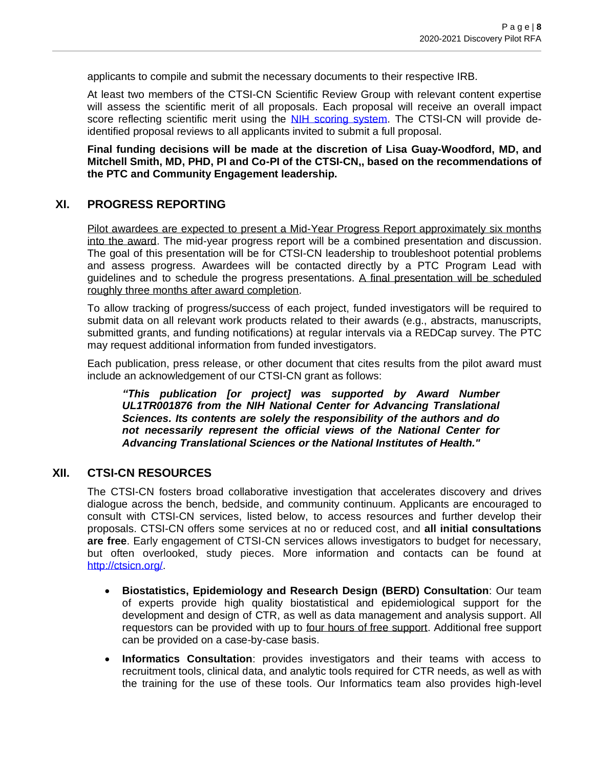applicants to compile and submit the necessary documents to their respective IRB.

At least two members of the CTSI-CN Scientific Review Group with relevant content expertise will assess the scientific merit of all proposals. Each proposal will receive an overall impact score reflecting scientific merit using the NIH scoring [system.](https://grants.nih.gov/grants/peer/guidelines_general/scoring_system_and_procedure.pdf) The CTSI-CN will provide deidentified proposal reviews to all applicants invited to submit a full proposal.

**Final funding decisions will be made at the discretion of Lisa Guay-Woodford, MD, and Mitchell Smith, MD, PHD, PI and Co-PI of the CTSI-CN,, based on the recommendations of the PTC and Community Engagement leadership.** 

#### **XI. PROGRESS REPORTING**

Pilot awardees are expected to present a Mid-Year Progress Report approximately six months into the award. The mid-year progress report will be a combined presentation and discussion. The goal of this presentation will be for CTSI-CN leadership to troubleshoot potential problems and assess progress. Awardees will be contacted directly by a PTC Program Lead with guidelines and to schedule the progress presentations. A final presentation will be scheduled roughly three months after award completion.

To allow tracking of progress/success of each project, funded investigators will be required to submit data on all relevant work products related to their awards (e.g., abstracts, manuscripts, submitted grants, and funding notifications) at regular intervals via a REDCap survey. The PTC may request additional information from funded investigators.

Each publication, press release, or other document that cites results from the pilot award must include an acknowledgement of our CTSI-CN grant as follows:

*"This publication [or project] was supported by Award Number UL1TR001876 from the NIH National Center for Advancing Translational Sciences. Its contents are solely the responsibility of the authors and do not necessarily represent the official views of the National Center for Advancing Translational Sciences or the National Institutes of Health."*

#### **XII. CTSI-CN RESOURCES**

The CTSI-CN fosters broad collaborative investigation that accelerates discovery and drives dialogue across the bench, bedside, and community continuum. Applicants are encouraged to consult with CTSI-CN services, listed below, to access resources and further develop their proposals. CTSI-CN offers some services at no or reduced cost, and **all initial consultations are free**. Early engagement of CTSI-CN services allows investigators to budget for necessary, but often overlooked, study pieces. More information and contacts can be found at [http://ctsicn.org/.](http://ctsicn.org/)

- **Biostatistics, Epidemiology and Research Design (BERD) Consultation**: Our team of experts provide high quality biostatistical and epidemiological support for the development and design of CTR, as well as data management and analysis support. All requestors can be provided with up to four hours of free support. Additional free support can be provided on a case-by-case basis.
- **Informatics Consultation**: provides investigators and their teams with access to recruitment tools, clinical data, and analytic tools required for CTR needs, as well as with the training for the use of these tools. Our Informatics team also provides high-level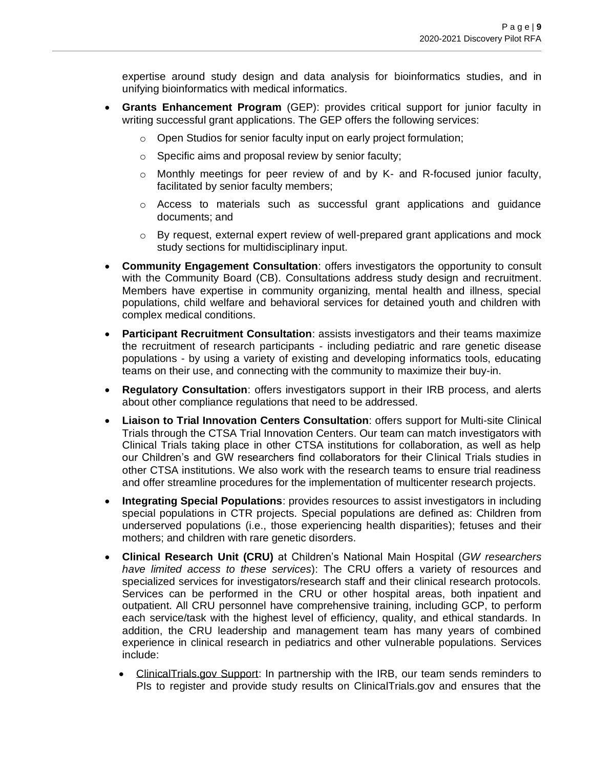expertise around study design and data analysis for bioinformatics studies, and in unifying bioinformatics with medical informatics.

- **Grants Enhancement Program** (GEP): provides critical support for junior faculty in writing successful grant applications. The GEP offers the following services:
	- o Open Studios for senior faculty input on early project formulation;
	- o Specific aims and proposal review by senior faculty;
	- $\circ$  Monthly meetings for peer review of and by K- and R-focused junior faculty, facilitated by senior faculty members;
	- $\circ$  Access to materials such as successful grant applications and guidance documents; and
	- $\circ$  By request, external expert review of well-prepared grant applications and mock study sections for multidisciplinary input.
- **Community Engagement Consultation**: offers investigators the opportunity to consult with the Community Board (CB). Consultations address study design and recruitment. Members have expertise in community organizing, mental health and illness, special populations, child welfare and behavioral services for detained youth and children with complex medical conditions.
- **Participant Recruitment Consultation**: assists investigators and their teams maximize the recruitment of research participants - including pediatric and rare genetic disease populations - by using a variety of existing and developing informatics tools, educating teams on their use, and connecting with the community to maximize their buy-in.
- **Regulatory Consultation**: offers investigators support in their IRB process, and alerts about other compliance regulations that need to be addressed.
- **Liaison to Trial Innovation Centers Consultation**: offers support for Multi-site Clinical Trials through the CTSA Trial Innovation Centers. Our team can match investigators with Clinical Trials taking place in other CTSA institutions for collaboration, as well as help our Children's and GW researchers find collaborators for their Clinical Trials studies in other CTSA institutions. We also work with the research teams to ensure trial readiness and offer streamline procedures for the implementation of multicenter research projects.
- **Integrating Special Populations**: provides resources to assist investigators in including special populations in CTR projects. Special populations are defined as: Children from underserved populations (i.e., those experiencing health disparities); fetuses and their mothers; and children with rare genetic disorders.
- **Clinical Research Unit (CRU)** at Children's National Main Hospital (*GW researchers have limited access to these services*): The CRU offers a variety of resources and specialized services for investigators/research staff and their clinical research protocols. Services can be performed in the CRU or other hospital areas, both inpatient and outpatient. All CRU personnel have comprehensive training, including GCP, to perform each service/task with the highest level of efficiency, quality, and ethical standards. In addition, the CRU leadership and management team has many years of combined experience in clinical research in pediatrics and other vulnerable populations. Services include:
	- ClinicalTrials.gov Support: In partnership with the IRB, our team sends reminders to PIs to register and provide study results on ClinicalTrials.gov and ensures that the